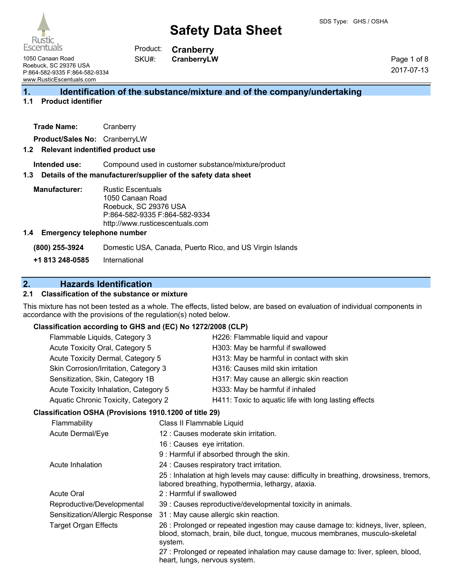

**Cranberry CranberryLW** Product: SKU#:

1050 Canaan Road Roebuck, SC 29376 USA P:864-582-9335 F:864-582-9334 www.RusticEscentuals.com

Page 1 of 8 2017-07-13

### **1. Identification of the substance/mixture and of the company/undertaking**

#### **1.1 Product identifier**

| Trade Name: | Cranberry |
|-------------|-----------|
|-------------|-----------|

**Product/Sales No:** CranberryLW

#### **1.2 Relevant indentified product use**

**Intended use:** Compound used in customer substance/mixture/product

#### **1.3 Details of the manufacturer/supplier of the safety data sheet**

**Manufacturer:** Rustic Escentuals 1050 Canaan Road Roebuck, SC 29376 USA P:864-582-9335 F:864-582-9334 http://www.rusticescentuals.com

#### **1.4 Emergency telephone number**

**(800) 255-3924** Domestic USA, Canada, Puerto Rico, and US Virgin Islands

**+1 813 248-0585** International

### **2. Hazards Identification**

#### **2.1 Classification of the substance or mixture**

This mixture has not been tested as a whole. The effects, listed below, are based on evaluation of individual components in accordance with the provisions of the regulation(s) noted below.

### **Classification according to GHS and (EC) No 1272/2008 (CLP)**

| $\sim$ assumed to the transition of the contract of the second term of $\sim$ |                                                                                                                                                                              |  |
|-------------------------------------------------------------------------------|------------------------------------------------------------------------------------------------------------------------------------------------------------------------------|--|
| Flammable Liquids, Category 3                                                 | H226: Flammable liquid and vapour                                                                                                                                            |  |
| Acute Toxicity Oral, Category 5                                               | H303: May be harmful if swallowed                                                                                                                                            |  |
| Acute Toxicity Dermal, Category 5                                             | H313: May be harmful in contact with skin                                                                                                                                    |  |
| Skin Corrosion/Irritation, Category 3                                         | H316: Causes mild skin irritation                                                                                                                                            |  |
| Sensitization, Skin, Category 1B                                              | H317: May cause an allergic skin reaction                                                                                                                                    |  |
| Acute Toxicity Inhalation, Category 5                                         | H333: May be harmful if inhaled                                                                                                                                              |  |
| Aquatic Chronic Toxicity, Category 2                                          | H411: Toxic to aquatic life with long lasting effects                                                                                                                        |  |
| Classification OSHA (Provisions 1910.1200 of title 29)                        |                                                                                                                                                                              |  |
| Flammability                                                                  | Class II Flammable Liquid                                                                                                                                                    |  |
| Acute Dermal/Eye                                                              | 12 : Causes moderate skin irritation.                                                                                                                                        |  |
|                                                                               | 16 : Causes eye irritation.                                                                                                                                                  |  |
|                                                                               | 9 : Harmful if absorbed through the skin.                                                                                                                                    |  |
| Acute Inhalation                                                              | 24 : Causes respiratory tract irritation.                                                                                                                                    |  |
|                                                                               | 25 : Inhalation at high levels may cause: difficulty in breathing, drowsiness, tremors,<br>labored breathing, hypothermia, lethargy, ataxia.                                 |  |
| <b>Acute Oral</b>                                                             | 2: Harmful if swallowed                                                                                                                                                      |  |
| Reproductive/Developmental                                                    | 39 : Causes reproductive/developmental toxicity in animals.                                                                                                                  |  |
| Sensitization/Allergic Response                                               | 31 : May cause allergic skin reaction.                                                                                                                                       |  |
| <b>Target Organ Effects</b>                                                   | 26 : Prolonged or repeated ingestion may cause damage to: kidneys, liver, spleen,<br>blood, stomach, brain, bile duct, tongue, mucous membranes, musculo-skeletal<br>system. |  |
|                                                                               | 27 : Prolonged or repeated inhalation may cause damage to: liver, spleen, blood.                                                                                             |  |

onged or repeated inhalation may cause damage to. liver, spleen, blood, heart, lungs, nervous system.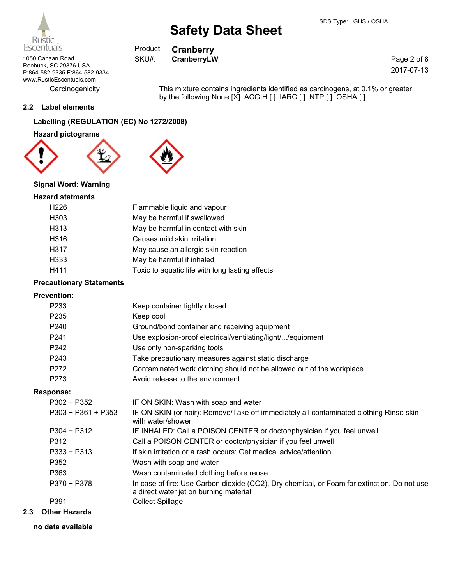**Cranberry**

Product: SKU#:

1050 Canaan Road **CRANGE SKU#:** CranberryLW Roebuck, SC 29376 USA P:864-582-9335 F:864-582-9334 www.RusticEscentuals.com

Carcinogenicity This mixture contains ingredients identified as carcinogens, at 0.1% or greater, by the following:None [X] ACGIH [] IARC [] NTP [] OSHA []

#### **2.2 Label elements**

### **Labelling (REGULATION (EC) No 1272/2008)**

**Hazard pictograms**



#### **Signal Word: Warning**

#### **Hazard statments**

| H <sub>226</sub> | Flammable liquid and vapour                     |
|------------------|-------------------------------------------------|
| H303             | May be harmful if swallowed                     |
| H313             | May be harmful in contact with skin             |
| H316             | Causes mild skin irritation                     |
| H317             | May cause an allergic skin reaction             |
| H333             | May be harmful if inhaled                       |
| H411             | Toxic to aquatic life with long lasting effects |

#### **Precautionary Statements**

#### **Prevention:**

| P233                 | Keep container tightly closed                                                                                                         |
|----------------------|---------------------------------------------------------------------------------------------------------------------------------------|
| P <sub>235</sub>     | Keep cool                                                                                                                             |
| P240                 | Ground/bond container and receiving equipment                                                                                         |
| P <sub>241</sub>     | Use explosion-proof electrical/ventilating/light//equipment                                                                           |
| P <sub>242</sub>     | Use only non-sparking tools                                                                                                           |
| P243                 | Take precautionary measures against static discharge                                                                                  |
| P272                 | Contaminated work clothing should not be allowed out of the workplace                                                                 |
| P273                 | Avoid release to the environment                                                                                                      |
| <b>Response:</b>     |                                                                                                                                       |
| $P302 + P352$        | IF ON SKIN: Wash with soap and water                                                                                                  |
| $P303 + P361 + P353$ | IF ON SKIN (or hair): Remove/Take off immediately all contaminated clothing Rinse skin<br>with water/shower                           |
| P304 + P312          | IF INHALED: Call a POISON CENTER or doctor/physician if you feel unwell                                                               |
| P312                 | Call a POISON CENTER or doctor/physician if you feel unwell                                                                           |
| $P333 + P313$        | If skin irritation or a rash occurs: Get medical advice/attention                                                                     |
| P352                 | Wash with soap and water                                                                                                              |
| P363                 | Wash contaminated clothing before reuse                                                                                               |
| $P370 + P378$        | In case of fire: Use Carbon dioxide (CO2), Dry chemical, or Foam for extinction. Do not use<br>a direct water jet on burning material |
| P391                 | <b>Collect Spillage</b>                                                                                                               |
|                      |                                                                                                                                       |

- **2.3 Other Hazards**
	- **no data available**



Page 2 of 8 2017-07-13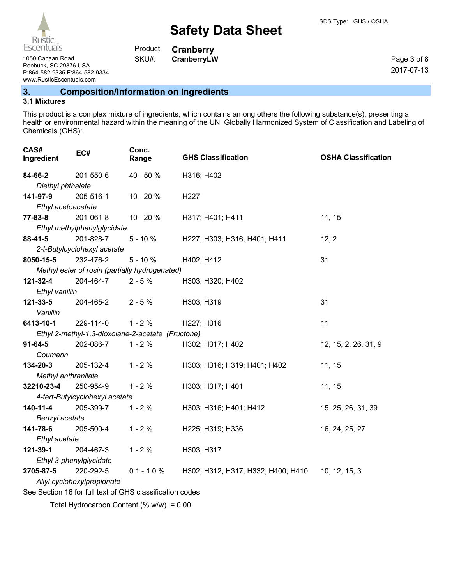1050 Canaan Road **CRANGE SKU#:** CranberryLW Roebuck, SC 29376 USA P:864-582-9335 F:864-582-9334 www.RusticEscentuals.com

**Cranberry** Product: SKU#:

Page 3 of 8 2017-07-13

**3. Composition/Information on Ingredients**

#### **3.1 Mixtures**

This product is a complex mixture of ingredients, which contains among others the following substance(s), presenting a health or environmental hazard within the meaning of the UN Globally Harmonized System of Classification and Labeling of Chemicals (GHS):

| CAS#<br>Ingredient         | EC#                            | Conc.<br>Range                                           | <b>GHS Classification</b>          | <b>OSHA Classification</b> |
|----------------------------|--------------------------------|----------------------------------------------------------|------------------------------------|----------------------------|
| 84-66-2                    | 201-550-6                      | 40 - 50 %                                                | H316; H402                         |                            |
| Diethyl phthalate          |                                |                                                          |                                    |                            |
| 141-97-9                   | 205-516-1                      | 10 - 20 %                                                | H <sub>227</sub>                   |                            |
| Ethyl acetoacetate         |                                |                                                          |                                    |                            |
| $77 - 83 - 8$              | 201-061-8                      | 10 - 20 %                                                | H317; H401; H411                   | 11, 15                     |
|                            | Ethyl methylphenylglycidate    |                                                          |                                    |                            |
| $88-41-5$                  | 201-828-7                      | $5 - 10%$                                                | H227; H303; H316; H401; H411       | 12, 2                      |
|                            | 2-t-Butylcyclohexyl acetate    |                                                          |                                    |                            |
| 8050-15-5                  | 232-476-2                      | $5 - 10%$                                                | H402; H412                         | 31                         |
|                            |                                | Methyl ester of rosin (partially hydrogenated)           |                                    |                            |
| 121-32-4                   | 204-464-7                      | $2 - 5%$                                                 | H303; H320; H402                   |                            |
| Ethyl vanillin             |                                |                                                          |                                    |                            |
| 121-33-5                   | 204-465-2                      | $2 - 5%$                                                 | H303; H319                         | 31                         |
| Vanillin                   |                                |                                                          |                                    |                            |
| 6413-10-1                  | 229-114-0                      | $1 - 2%$                                                 | H227; H316                         | 11                         |
|                            |                                | Ethyl 2-methyl-1,3-dioxolane-2-acetate (Fructone)        |                                    |                            |
| $91 - 64 - 5$              | 202-086-7                      | $1 - 2%$                                                 | H302; H317; H402                   | 12, 15, 2, 26, 31, 9       |
| Coumarin                   |                                |                                                          |                                    |                            |
| 134-20-3                   | 205-132-4                      | $1 - 2%$                                                 | H303; H316; H319; H401; H402       | 11, 15                     |
| Methyl anthranilate        |                                |                                                          |                                    |                            |
| 32210-23-4                 | 250-954-9                      | $1 - 2%$                                                 | H303; H317; H401                   | 11, 15                     |
|                            | 4-tert-Butylcyclohexyl acetate |                                                          |                                    |                            |
| 140-11-4                   | 205-399-7                      | $1 - 2%$                                                 | H303; H316; H401; H412             | 15, 25, 26, 31, 39         |
| Benzyl acetate             |                                |                                                          |                                    |                            |
| 141-78-6                   | 205-500-4                      | $1 - 2%$                                                 | H225; H319; H336                   | 16, 24, 25, 27             |
| Ethyl acetate              |                                |                                                          |                                    |                            |
| 121-39-1                   | 204-467-3                      | $1 - 2%$                                                 | H303; H317                         |                            |
| Ethyl 3-phenylglycidate    |                                |                                                          |                                    |                            |
| 2705-87-5                  | 220-292-5                      | $0.1 - 1.0 %$                                            | H302; H312; H317; H332; H400; H410 | 10, 12, 15, 3              |
| Allyl cyclohexylpropionate |                                |                                                          |                                    |                            |
|                            |                                | See Section 16 for full text of GHS classification codes |                                    |                            |
|                            |                                |                                                          |                                    |                            |

Total Hydrocarbon Content  $(\% w/w) = 0.00$ 

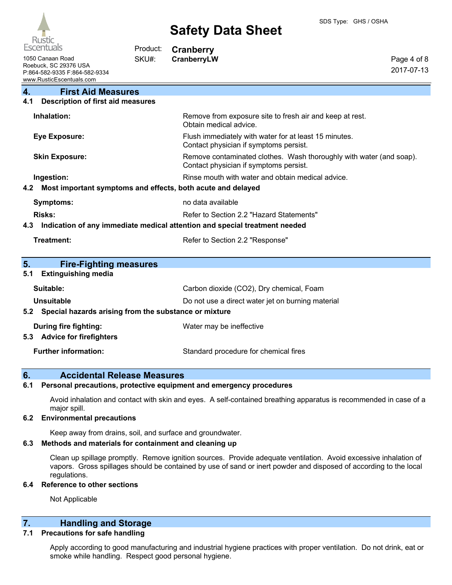| <b>Kustic</b><br>Escentuals                                                                            | Product: | <b>Cranberry</b>                                                                                              |                           |
|--------------------------------------------------------------------------------------------------------|----------|---------------------------------------------------------------------------------------------------------------|---------------------------|
| 1050 Canaan Road<br>Roebuck, SC 29376 USA<br>P:864-582-9335 F:864-582-9334<br>www.RusticEscentuals.com | SKU#:    | CranberryLW                                                                                                   | Page 4 of 8<br>2017-07-13 |
| 4.<br><b>First Aid Measures</b>                                                                        |          |                                                                                                               |                           |
| <b>Description of first aid measures</b><br>4.1                                                        |          |                                                                                                               |                           |
| Inhalation:                                                                                            |          | Remove from exposure site to fresh air and keep at rest.<br>Obtain medical advice.                            |                           |
| <b>Eye Exposure:</b>                                                                                   |          | Flush immediately with water for at least 15 minutes.<br>Contact physician if symptoms persist.               |                           |
| <b>Skin Exposure:</b>                                                                                  |          | Remove contaminated clothes. Wash thoroughly with water (and soap).<br>Contact physician if symptoms persist. |                           |
| Ingestion:                                                                                             |          | Rinse mouth with water and obtain medical advice.                                                             |                           |
| Most important symptoms and effects, both acute and delayed<br>$4.2^{\circ}$                           |          |                                                                                                               |                           |
| <b>Symptoms:</b>                                                                                       |          | no data available                                                                                             |                           |
| Risks:                                                                                                 |          | Refer to Section 2.2 "Hazard Statements"                                                                      |                           |
| 4.3                                                                                                    |          | Indication of any immediate medical attention and special treatment needed                                    |                           |
| <b>Treatment:</b>                                                                                      |          | Refer to Section 2.2 "Response"                                                                               |                           |
|                                                                                                        |          |                                                                                                               |                           |
| 5.<br><b>Fire-Fighting measures</b>                                                                    |          |                                                                                                               |                           |
| <b>Extinguishing media</b><br>5.1                                                                      |          |                                                                                                               |                           |
| Suitable:                                                                                              |          | Carbon dioxide (CO2), Dry chemical, Foam                                                                      |                           |
| <b>Unsuitable</b>                                                                                      |          | Do not use a direct water jet on burning material                                                             |                           |
| 5.2 Special hazards arising from the substance or mixture                                              |          |                                                                                                               |                           |
| <b>During fire fighting:</b><br>5.3 Advice for firefighters                                            |          | Water may be ineffective                                                                                      |                           |
| <b>Further information:</b>                                                                            |          | Standard procedure for chemical fires                                                                         |                           |

### **6. Accidental Release Measures**

#### **6.1 Personal precautions, protective equipment and emergency procedures**

Avoid inhalation and contact with skin and eyes. A self-contained breathing apparatus is recommended in case of a major spill.

#### **6.2 Environmental precautions**

Keep away from drains, soil, and surface and groundwater.

#### **6.3 Methods and materials for containment and cleaning up**

Clean up spillage promptly. Remove ignition sources. Provide adequate ventilation. Avoid excessive inhalation of vapors. Gross spillages should be contained by use of sand or inert powder and disposed of according to the local regulations.

#### **6.4 Reference to other sections**

Not Applicable

# **7. Handling and Storage**

#### **7.1 Precautions for safe handling**

Apply according to good manufacturing and industrial hygiene practices with proper ventilation. Do not drink, eat or smoke while handling. Respect good personal hygiene.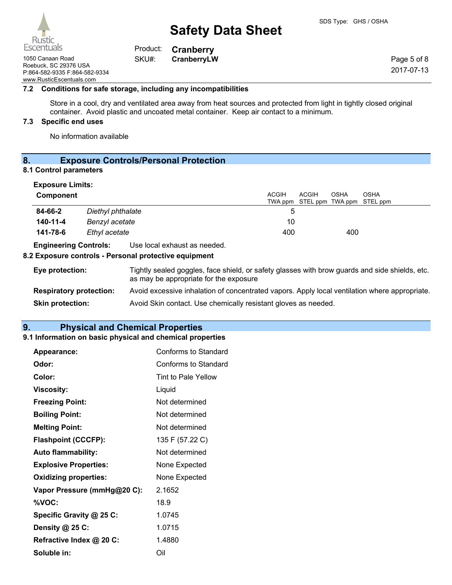**Cranberry** Product: SKU#:

1050 Canaan Road **CRANGE SKU#:** CranberryLW Roebuck, SC 29376 USA P:864-582-9335 F:864-582-9334 www.RusticEscentuals.com

**7.2 Conditions for safe storage, including any incompatibilities**

Store in a cool, dry and ventilated area away from heat sources and protected from light in tightly closed original container. Avoid plastic and uncoated metal container. Keep air contact to a minimum.

#### **7.3 Specific end uses**

No information available

# **8. Exposure Controls/Personal Protection**

#### **8.1 Control parameters**

| <b>Exposure Limits:</b><br>Component |                                                    | ACGIH | ACGIH<br><b>OSHA</b><br>TWA ppm STEL ppm TWA ppm STEL ppm | OSHA |
|--------------------------------------|----------------------------------------------------|-------|-----------------------------------------------------------|------|
| 84-66-2                              | Diethyl phthalate                                  | 5     |                                                           |      |
| 140-11-4                             | Benzyl acetate                                     | 10    |                                                           |      |
| 141-78-6                             | Ethyl acetate                                      | 400   | 400                                                       |      |
| <b>Engineering Controls:</b>         | Use local exhaust as needed.                       |       |                                                           |      |
|                                      | 0 European controle Democral meteother controlerat |       |                                                           |      |

#### **8.2 Exposure controls - Personal protective equipment**

| Eye protection:                | Tightly sealed goggles, face shield, or safety glasses with brow guards and side shields, etc.<br>as may be appropriate for the exposure |
|--------------------------------|------------------------------------------------------------------------------------------------------------------------------------------|
| <b>Respiratory protection:</b> | Avoid excessive inhalation of concentrated vapors. Apply local ventilation where appropriate.                                            |
| <b>Skin protection:</b>        | Avoid Skin contact. Use chemically resistant gloves as needed.                                                                           |

# **9. Physical and Chemical Properties**

#### **9.1 Information on basic physical and chemical properties**

| <b>Appearance:</b>           | Conforms to Standard |
|------------------------------|----------------------|
| Odor:                        | Conforms to Standard |
| Color:                       | Tint to Pale Yellow  |
| <b>Viscosity:</b>            | Liquid               |
| <b>Freezing Point:</b>       | Not determined       |
| <b>Boiling Point:</b>        | Not determined       |
| <b>Melting Point:</b>        | Not determined       |
| <b>Flashpoint (CCCFP):</b>   | 135 F (57.22 C)      |
| <b>Auto flammability:</b>    | Not determined       |
| <b>Explosive Properties:</b> | None Expected        |
| <b>Oxidizing properties:</b> | None Expected        |
| Vapor Pressure (mmHg@20 C):  | 2.1652               |
| %VOC:                        | 18.9                 |
| Specific Gravity @ 25 C:     | 1.0745               |
| Density @ 25 C:              | 1.0715               |
| Refractive Index @ 20 C:     | 1.4880               |
| Soluble in:                  | Oil                  |



Page 5 of 8 2017-07-13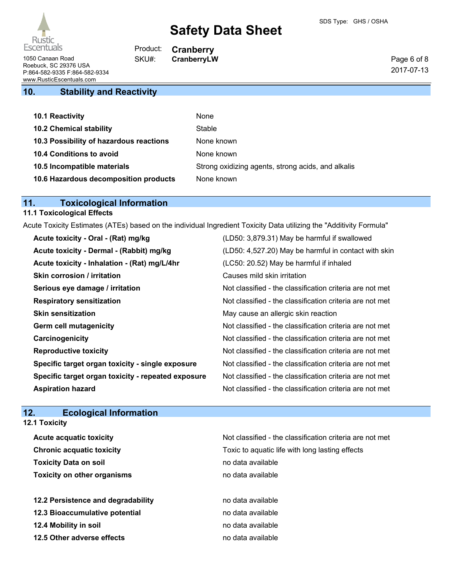#### Page 6 of 8 2017-07-13

1050 Canaan Road **CRANGE SKU#:** CranberryLW Roebuck, SC 29376 USA P:864-582-9335 F:864-582-9334 www.RusticEscentuals.com

# **10. Stability and Reactivity**

| <b>10.1 Reactivity</b>                  | None                                               |
|-----------------------------------------|----------------------------------------------------|
| <b>10.2 Chemical stability</b>          | Stable                                             |
| 10.3 Possibility of hazardous reactions | None known                                         |
| <b>10.4 Conditions to avoid</b>         | None known                                         |
| 10.5 Incompatible materials             | Strong oxidizing agents, strong acids, and alkalis |
| 10.6 Hazardous decomposition products   | None known                                         |

**Cranberry**

Product: SKU#:

# **11. Toxicological Information**

# **11.1 Toxicological Effects**

Acute Toxicity Estimates (ATEs) based on the individual Ingredient Toxicity Data utilizing the "Additivity Formula"

| Acute toxicity - Oral - (Rat) mg/kg                | (LD50: 3,879.31) May be harmful if swallowed             |
|----------------------------------------------------|----------------------------------------------------------|
| Acute toxicity - Dermal - (Rabbit) mg/kg           | (LD50: 4,527.20) May be harmful in contact with skin     |
| Acute toxicity - Inhalation - (Rat) mg/L/4hr       | (LC50: 20.52) May be harmful if inhaled                  |
| <b>Skin corrosion / irritation</b>                 | Causes mild skin irritation                              |
| Serious eye damage / irritation                    | Not classified - the classification criteria are not met |
| <b>Respiratory sensitization</b>                   | Not classified - the classification criteria are not met |
| <b>Skin sensitization</b>                          | May cause an allergic skin reaction                      |
| <b>Germ cell mutagenicity</b>                      | Not classified - the classification criteria are not met |
| Carcinogenicity                                    | Not classified - the classification criteria are not met |
| <b>Reproductive toxicity</b>                       | Not classified - the classification criteria are not met |
| Specific target organ toxicity - single exposure   | Not classified - the classification criteria are not met |
| Specific target organ toxicity - repeated exposure | Not classified - the classification criteria are not met |
| <b>Aspiration hazard</b>                           | Not classified - the classification criteria are not met |

# **12. Ecological Information**

**12.1 Toxicity**

| <b>Acute acquatic toxicity</b>     | Not classified - the classification criteria are not met |
|------------------------------------|----------------------------------------------------------|
| <b>Chronic acquatic toxicity</b>   | Toxic to aquatic life with long lasting effects          |
| <b>Toxicity Data on soil</b>       | no data available                                        |
| <b>Toxicity on other organisms</b> | no data available                                        |
|                                    |                                                          |
| 12.2 Persistence and degradability | no data available                                        |
| 12.3 Bioaccumulative potential     | no data available                                        |
| 12.4 Mobility in soil              | no data available                                        |
| 12.5 Other adverse effects         | no data available                                        |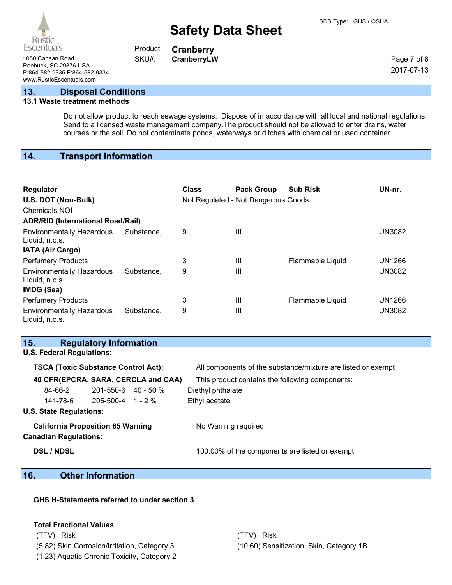1050 Canaan Road **CRANGE SKU#:** CranberryLW Roebuck, SC 29376 USA P:864-582-9335 F:864-582-9334

**Cranberry** Product: SKU#:

Page 7 of 8 2017-07-13

www.RusticEscentuals.com

**13. Disposal Conditions**

#### **13.1 Waste treatment methods**

Do not allow product to reach sewage systems. Dispose of in accordance with all local and national regulations. Send to a licensed waste management company.The product should not be allowed to enter drains, water courses or the soil. Do not contaminate ponds, waterways or ditches with chemical or used container.

### **14. Transport Information**

| Regulator<br>U.S. DOT (Non-Bulk)<br><b>Chemicals NOI</b><br><b>ADR/RID (International Road/Rail)</b> |            | Class | <b>Pack Group</b><br>Not Regulated - Not Dangerous Goods | <b>Sub Risk</b>  | UN-nr.        |
|------------------------------------------------------------------------------------------------------|------------|-------|----------------------------------------------------------|------------------|---------------|
| <b>Environmentally Hazardous</b><br>Liquid, n.o.s.<br><b>IATA (Air Cargo)</b>                        | Substance, | 9     | Ш                                                        |                  | <b>UN3082</b> |
| <b>Perfumery Products</b>                                                                            |            | 3     | Ш                                                        | Flammable Liquid | <b>UN1266</b> |
| <b>Environmentally Hazardous</b><br>Liquid, n.o.s.<br>IMDG (Sea)                                     | Substance. | 9     | Ш                                                        |                  | <b>UN3082</b> |
| <b>Perfumery Products</b>                                                                            |            | 3     | Ш                                                        | Flammable Liquid | <b>UN1266</b> |
| <b>Environmentally Hazardous</b><br>Liquid, n.o.s.                                                   | Substance, | 9     | Ш                                                        |                  | <b>UN3082</b> |

#### **15. Regulatory Information U.S. Federal Regulations:**

# **TSCA (Toxic Substance Control Act):** All components of the substance/mixture are listed or exempt **40 CFR(EPCRA, SARA, CERCLA and CAA)** This product contains the following components: 84-66-2 201-550-6 40 - 50 % Diethyl phthalate 141-78-6 205-500-4 1 - 2 % Ethyl acetate **U.S. State Regulations: California Proposition 65 Warning** No Warning required **Canadian Regulations: DSL / NDSL** 100.00% of the components are listed or exempt.

### **16. Other Information**

### **GHS H-Statements referred to under section 3**

#### **Total Fractional Values**

(TFV) Risk (TFV) Risk

(5.82) Skin Corrosion/Irritation, Category 3 (10.60) Sensitization, Skin, Category 1B

(1.23) Aquatic Chronic Toxicity, Category 2